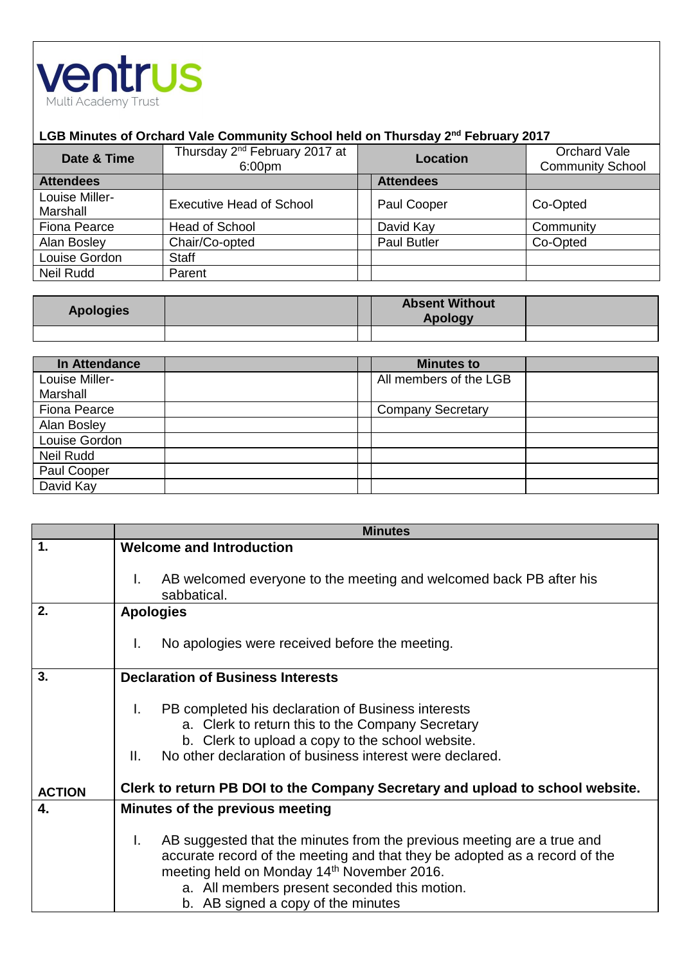

## **LGB Minutes of Orchard Vale Community School held on Thursday 2nd February 2017**

| Date & Time                | Thursday 2 <sup>nd</sup> February 2017 at<br>6:00pm | Location           | Orchard Vale<br><b>Community School</b> |
|----------------------------|-----------------------------------------------------|--------------------|-----------------------------------------|
| <b>Attendees</b>           |                                                     | <b>Attendees</b>   |                                         |
| Louise Miller-<br>Marshall | <b>Executive Head of School</b>                     | Paul Cooper        | Co-Opted                                |
| <b>Fiona Pearce</b>        | <b>Head of School</b>                               | David Kay          | Community                               |
| Alan Bosley                | Chair/Co-opted                                      | <b>Paul Butler</b> | Co-Opted                                |
| Louise Gordon              | <b>Staff</b>                                        |                    |                                         |
| Neil Rudd                  | Parent                                              |                    |                                         |

| <b>Apologies</b> | <b>Absent Without</b><br><b>Apology</b> |  |
|------------------|-----------------------------------------|--|
|                  |                                         |  |

| In Attendance       | <b>Minutes to</b>        |  |
|---------------------|--------------------------|--|
| Louise Miller-      | All members of the LGB   |  |
| Marshall            |                          |  |
| <b>Fiona Pearce</b> | <b>Company Secretary</b> |  |
| Alan Bosley         |                          |  |
| Louise Gordon       |                          |  |
| Neil Rudd           |                          |  |
| Paul Cooper         |                          |  |
| David Kay           |                          |  |

|               | <b>Minutes</b>                                                                                                                                                                                                                                                                                                       |  |  |
|---------------|----------------------------------------------------------------------------------------------------------------------------------------------------------------------------------------------------------------------------------------------------------------------------------------------------------------------|--|--|
| 1.            | <b>Welcome and Introduction</b>                                                                                                                                                                                                                                                                                      |  |  |
|               | AB welcomed everyone to the meeting and welcomed back PB after his<br>I.<br>sabbatical.                                                                                                                                                                                                                              |  |  |
| 2.            | <b>Apologies</b>                                                                                                                                                                                                                                                                                                     |  |  |
|               | No apologies were received before the meeting.<br>L.                                                                                                                                                                                                                                                                 |  |  |
| 3.            | <b>Declaration of Business Interests</b>                                                                                                                                                                                                                                                                             |  |  |
| <b>ACTION</b> | PB completed his declaration of Business interests<br>I.<br>a. Clerk to return this to the Company Secretary<br>b. Clerk to upload a copy to the school website.<br>No other declaration of business interest were declared.<br>II.<br>Clerk to return PB DOI to the Company Secretary and upload to school website. |  |  |
| 4.            | Minutes of the previous meeting                                                                                                                                                                                                                                                                                      |  |  |
|               | I.<br>AB suggested that the minutes from the previous meeting are a true and<br>accurate record of the meeting and that they be adopted as a record of the<br>meeting held on Monday 14th November 2016.<br>a. All members present seconded this motion.<br>b. AB signed a copy of the minutes                       |  |  |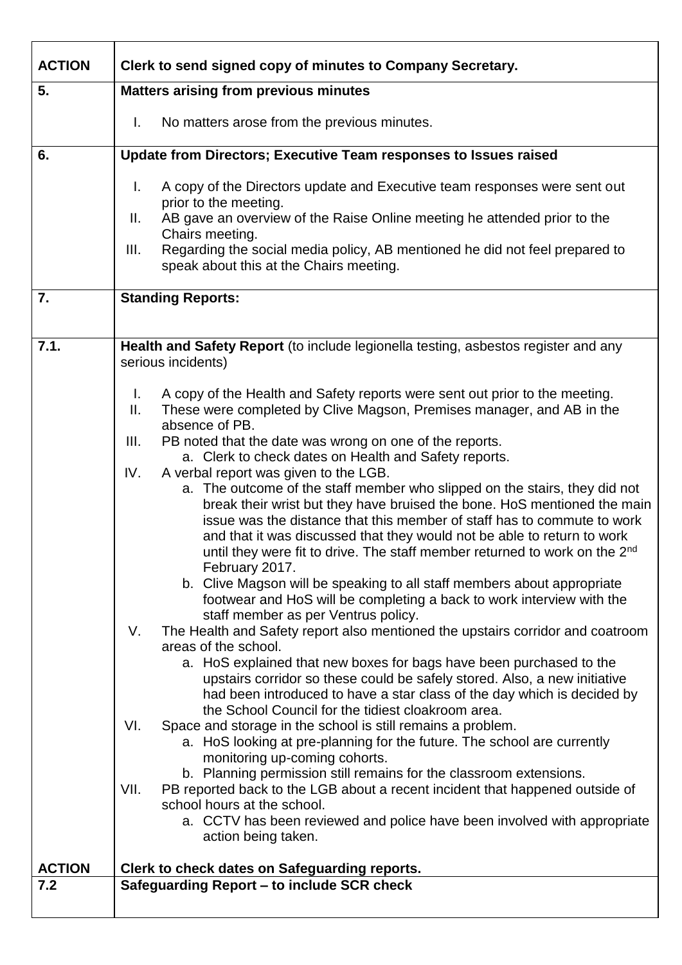| <b>ACTION</b> | Clerk to send signed copy of minutes to Company Secretary.                                                                                                                                                                                                                                                                                                                                                                                                               |  |  |
|---------------|--------------------------------------------------------------------------------------------------------------------------------------------------------------------------------------------------------------------------------------------------------------------------------------------------------------------------------------------------------------------------------------------------------------------------------------------------------------------------|--|--|
| 5.            | <b>Matters arising from previous minutes</b>                                                                                                                                                                                                                                                                                                                                                                                                                             |  |  |
|               | No matters arose from the previous minutes.<br>Τ.                                                                                                                                                                                                                                                                                                                                                                                                                        |  |  |
| 6.            | Update from Directors; Executive Team responses to Issues raised                                                                                                                                                                                                                                                                                                                                                                                                         |  |  |
|               | Τ.<br>A copy of the Directors update and Executive team responses were sent out<br>prior to the meeting.<br>AB gave an overview of the Raise Online meeting he attended prior to the<br>Ш.<br>Chairs meeting.<br>Regarding the social media policy, AB mentioned he did not feel prepared to<br>III.<br>speak about this at the Chairs meeting.                                                                                                                          |  |  |
| 7.            | <b>Standing Reports:</b>                                                                                                                                                                                                                                                                                                                                                                                                                                                 |  |  |
|               |                                                                                                                                                                                                                                                                                                                                                                                                                                                                          |  |  |
| 7.1.          | Health and Safety Report (to include legionella testing, asbestos register and any<br>serious incidents)                                                                                                                                                                                                                                                                                                                                                                 |  |  |
|               | A copy of the Health and Safety reports were sent out prior to the meeting.<br>Τ.<br>ΙΙ.<br>These were completed by Clive Magson, Premises manager, and AB in the<br>absence of PB.                                                                                                                                                                                                                                                                                      |  |  |
|               | III.<br>PB noted that the date was wrong on one of the reports.<br>a. Clerk to check dates on Health and Safety reports.                                                                                                                                                                                                                                                                                                                                                 |  |  |
|               | IV.<br>A verbal report was given to the LGB.<br>a. The outcome of the staff member who slipped on the stairs, they did not<br>break their wrist but they have bruised the bone. HoS mentioned the main<br>issue was the distance that this member of staff has to commute to work<br>and that it was discussed that they would not be able to return to work<br>until they were fit to drive. The staff member returned to work on the 2 <sup>nd</sup><br>February 2017. |  |  |
|               | b. Clive Magson will be speaking to all staff members about appropriate<br>footwear and HoS will be completing a back to work interview with the<br>staff member as per Ventrus policy.<br>The Health and Safety report also mentioned the upstairs corridor and coatroom<br>V.                                                                                                                                                                                          |  |  |
|               | areas of the school.<br>a. HoS explained that new boxes for bags have been purchased to the<br>upstairs corridor so these could be safely stored. Also, a new initiative<br>had been introduced to have a star class of the day which is decided by<br>the School Council for the tidiest cloakroom area.                                                                                                                                                                |  |  |
|               | VI.<br>Space and storage in the school is still remains a problem.<br>a. HoS looking at pre-planning for the future. The school are currently<br>monitoring up-coming cohorts.<br>b. Planning permission still remains for the classroom extensions.                                                                                                                                                                                                                     |  |  |
|               | VII.<br>PB reported back to the LGB about a recent incident that happened outside of<br>school hours at the school.<br>a. CCTV has been reviewed and police have been involved with appropriate<br>action being taken.                                                                                                                                                                                                                                                   |  |  |
| <b>ACTION</b> | Clerk to check dates on Safeguarding reports.                                                                                                                                                                                                                                                                                                                                                                                                                            |  |  |
| 7.2           | Safeguarding Report - to include SCR check                                                                                                                                                                                                                                                                                                                                                                                                                               |  |  |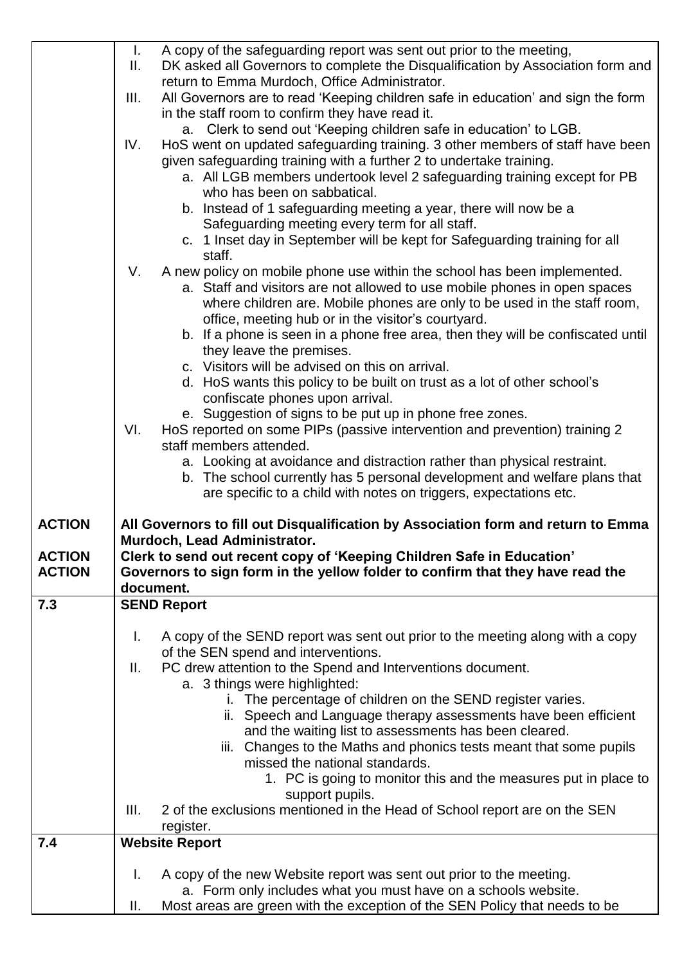|               | T.<br>Ш. | A copy of the safeguarding report was sent out prior to the meeting,<br>DK asked all Governors to complete the Disqualification by Association form and           |
|---------------|----------|-------------------------------------------------------------------------------------------------------------------------------------------------------------------|
|               | III.     | return to Emma Murdoch, Office Administrator.<br>All Governors are to read 'Keeping children safe in education' and sign the form                                 |
|               |          | in the staff room to confirm they have read it.<br>a. Clerk to send out 'Keeping children safe in education' to LGB.                                              |
|               | IV.      | HoS went on updated safeguarding training. 3 other members of staff have been<br>given safeguarding training with a further 2 to undertake training.              |
|               |          | a. All LGB members undertook level 2 safeguarding training except for PB<br>who has been on sabbatical.                                                           |
|               |          | b. Instead of 1 safeguarding meeting a year, there will now be a<br>Safeguarding meeting every term for all staff.                                                |
|               |          | c. 1 Inset day in September will be kept for Safeguarding training for all<br>staff.                                                                              |
|               | V.       | A new policy on mobile phone use within the school has been implemented.<br>a. Staff and visitors are not allowed to use mobile phones in open spaces             |
|               |          | where children are. Mobile phones are only to be used in the staff room,<br>office, meeting hub or in the visitor's courtyard.                                    |
|               |          | b. If a phone is seen in a phone free area, then they will be confiscated until<br>they leave the premises.                                                       |
|               |          | c. Visitors will be advised on this on arrival.<br>d. HoS wants this policy to be built on trust as a lot of other school's                                       |
|               |          | confiscate phones upon arrival.                                                                                                                                   |
|               | VI.      | e. Suggestion of signs to be put up in phone free zones.<br>HoS reported on some PIPs (passive intervention and prevention) training 2<br>staff members attended. |
|               |          | a. Looking at avoidance and distraction rather than physical restraint.                                                                                           |
|               |          | b. The school currently has 5 personal development and welfare plans that<br>are specific to a child with notes on triggers, expectations etc.                    |
| <b>ACTION</b> |          | All Governors to fill out Disqualification by Association form and return to Emma<br>Murdoch, Lead Administrator.                                                 |
| <b>ACTION</b> |          |                                                                                                                                                                   |
| <b>ACTION</b> |          | Clerk to send out recent copy of 'Keeping Children Safe in Education'                                                                                             |
|               |          | Governors to sign form in the yellow folder to confirm that they have read the<br>document.                                                                       |
| 7.3           |          | <b>SEND Report</b>                                                                                                                                                |
|               | I.       | A copy of the SEND report was sent out prior to the meeting along with a copy                                                                                     |
|               | Ш.       | of the SEN spend and interventions.<br>PC drew attention to the Spend and Interventions document.                                                                 |
|               |          | a. 3 things were highlighted:                                                                                                                                     |
|               |          | i. The percentage of children on the SEND register varies.                                                                                                        |
|               |          | ii. Speech and Language therapy assessments have been efficient<br>and the waiting list to assessments has been cleared.                                          |
|               |          | iii. Changes to the Maths and phonics tests meant that some pupils<br>missed the national standards.                                                              |
|               |          | 1. PC is going to monitor this and the measures put in place to                                                                                                   |
|               | III.     | support pupils.<br>2 of the exclusions mentioned in the Head of School report are on the SEN<br>register.                                                         |
| 7.4           |          | <b>Website Report</b>                                                                                                                                             |
|               | I.       | A copy of the new Website report was sent out prior to the meeting.<br>a. Form only includes what you must have on a schools website.                             |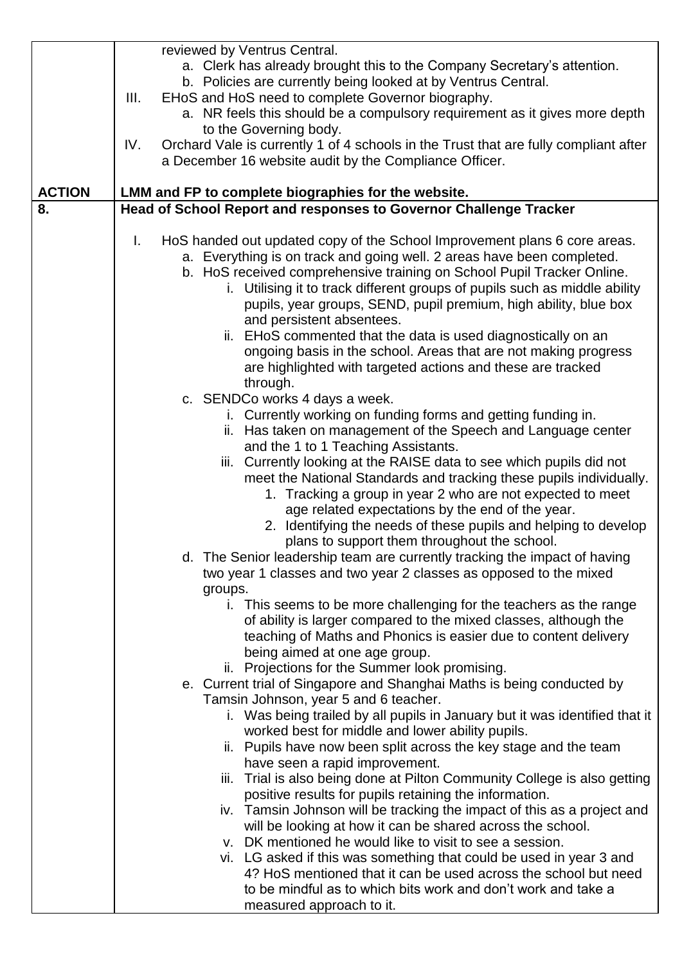| reviewed by Ventrus Central.<br>a. Clerk has already brought this to the Company Secretary's attention.<br>b. Policies are currently being looked at by Ventrus Central.<br>III.<br>EHoS and HoS need to complete Governor biography.<br>a. NR feels this should be a compulsory requirement as it gives more depth<br>to the Governing body.<br>Orchard Vale is currently 1 of 4 schools in the Trust that are fully compliant after<br>IV.<br>a December 16 website audit by the Compliance Officer.<br><b>ACTION</b><br>LMM and FP to complete biographies for the website.<br>Head of School Report and responses to Governor Challenge Tracker<br>8.<br>I.<br>HoS handed out updated copy of the School Improvement plans 6 core areas.<br>a. Everything is on track and going well. 2 areas have been completed.<br>b. HoS received comprehensive training on School Pupil Tracker Online.<br>i. Utilising it to track different groups of pupils such as middle ability<br>pupils, year groups, SEND, pupil premium, high ability, blue box<br>and persistent absentees.<br>ii. EHoS commented that the data is used diagnostically on an<br>ongoing basis in the school. Areas that are not making progress<br>are highlighted with targeted actions and these are tracked<br>through.<br>c. SENDCo works 4 days a week.<br>i. Currently working on funding forms and getting funding in.<br>ii. Has taken on management of the Speech and Language center<br>and the 1 to 1 Teaching Assistants.<br>iii. Currently looking at the RAISE data to see which pupils did not<br>meet the National Standards and tracking these pupils individually.<br>1. Tracking a group in year 2 who are not expected to meet<br>age related expectations by the end of the year.<br>2. Identifying the needs of these pupils and helping to develop<br>plans to support them throughout the school.<br>d. The Senior leadership team are currently tracking the impact of having<br>two year 1 classes and two year 2 classes as opposed to the mixed<br>groups.<br>i. This seems to be more challenging for the teachers as the range<br>of ability is larger compared to the mixed classes, although the<br>teaching of Maths and Phonics is easier due to content delivery<br>being aimed at one age group.<br>ii. Projections for the Summer look promising.<br>e. Current trial of Singapore and Shanghai Maths is being conducted by<br>Tamsin Johnson, year 5 and 6 teacher.<br>i. Was being trailed by all pupils in January but it was identified that it<br>worked best for middle and lower ability pupils.<br>ii. Pupils have now been split across the key stage and the team<br>have seen a rapid improvement.<br>Trial is also being done at Pilton Community College is also getting<br>Ш.<br>positive results for pupils retaining the information.<br>iv. Tamsin Johnson will be tracking the impact of this as a project and<br>will be looking at how it can be shared across the school.<br>v. DK mentioned he would like to visit to see a session.<br>vi. LG asked if this was something that could be used in year 3 and<br>4? HoS mentioned that it can be used across the school but need<br>to be mindful as to which bits work and don't work and take a<br>measured approach to it. |  |  |
|------------------------------------------------------------------------------------------------------------------------------------------------------------------------------------------------------------------------------------------------------------------------------------------------------------------------------------------------------------------------------------------------------------------------------------------------------------------------------------------------------------------------------------------------------------------------------------------------------------------------------------------------------------------------------------------------------------------------------------------------------------------------------------------------------------------------------------------------------------------------------------------------------------------------------------------------------------------------------------------------------------------------------------------------------------------------------------------------------------------------------------------------------------------------------------------------------------------------------------------------------------------------------------------------------------------------------------------------------------------------------------------------------------------------------------------------------------------------------------------------------------------------------------------------------------------------------------------------------------------------------------------------------------------------------------------------------------------------------------------------------------------------------------------------------------------------------------------------------------------------------------------------------------------------------------------------------------------------------------------------------------------------------------------------------------------------------------------------------------------------------------------------------------------------------------------------------------------------------------------------------------------------------------------------------------------------------------------------------------------------------------------------------------------------------------------------------------------------------------------------------------------------------------------------------------------------------------------------------------------------------------------------------------------------------------------------------------------------------------------------------------------------------------------------------------------------------------------------------------------------------------------------------------------------------------------------------------------------------------------------------------------------------------------------------------------------------------------------------------------------------------------------------------------------------------------------------------------------------------------------------------------------------------------------------------|--|--|
|                                                                                                                                                                                                                                                                                                                                                                                                                                                                                                                                                                                                                                                                                                                                                                                                                                                                                                                                                                                                                                                                                                                                                                                                                                                                                                                                                                                                                                                                                                                                                                                                                                                                                                                                                                                                                                                                                                                                                                                                                                                                                                                                                                                                                                                                                                                                                                                                                                                                                                                                                                                                                                                                                                                                                                                                                                                                                                                                                                                                                                                                                                                                                                                                                                                                                                            |  |  |
|                                                                                                                                                                                                                                                                                                                                                                                                                                                                                                                                                                                                                                                                                                                                                                                                                                                                                                                                                                                                                                                                                                                                                                                                                                                                                                                                                                                                                                                                                                                                                                                                                                                                                                                                                                                                                                                                                                                                                                                                                                                                                                                                                                                                                                                                                                                                                                                                                                                                                                                                                                                                                                                                                                                                                                                                                                                                                                                                                                                                                                                                                                                                                                                                                                                                                                            |  |  |
|                                                                                                                                                                                                                                                                                                                                                                                                                                                                                                                                                                                                                                                                                                                                                                                                                                                                                                                                                                                                                                                                                                                                                                                                                                                                                                                                                                                                                                                                                                                                                                                                                                                                                                                                                                                                                                                                                                                                                                                                                                                                                                                                                                                                                                                                                                                                                                                                                                                                                                                                                                                                                                                                                                                                                                                                                                                                                                                                                                                                                                                                                                                                                                                                                                                                                                            |  |  |
|                                                                                                                                                                                                                                                                                                                                                                                                                                                                                                                                                                                                                                                                                                                                                                                                                                                                                                                                                                                                                                                                                                                                                                                                                                                                                                                                                                                                                                                                                                                                                                                                                                                                                                                                                                                                                                                                                                                                                                                                                                                                                                                                                                                                                                                                                                                                                                                                                                                                                                                                                                                                                                                                                                                                                                                                                                                                                                                                                                                                                                                                                                                                                                                                                                                                                                            |  |  |
|                                                                                                                                                                                                                                                                                                                                                                                                                                                                                                                                                                                                                                                                                                                                                                                                                                                                                                                                                                                                                                                                                                                                                                                                                                                                                                                                                                                                                                                                                                                                                                                                                                                                                                                                                                                                                                                                                                                                                                                                                                                                                                                                                                                                                                                                                                                                                                                                                                                                                                                                                                                                                                                                                                                                                                                                                                                                                                                                                                                                                                                                                                                                                                                                                                                                                                            |  |  |
|                                                                                                                                                                                                                                                                                                                                                                                                                                                                                                                                                                                                                                                                                                                                                                                                                                                                                                                                                                                                                                                                                                                                                                                                                                                                                                                                                                                                                                                                                                                                                                                                                                                                                                                                                                                                                                                                                                                                                                                                                                                                                                                                                                                                                                                                                                                                                                                                                                                                                                                                                                                                                                                                                                                                                                                                                                                                                                                                                                                                                                                                                                                                                                                                                                                                                                            |  |  |
|                                                                                                                                                                                                                                                                                                                                                                                                                                                                                                                                                                                                                                                                                                                                                                                                                                                                                                                                                                                                                                                                                                                                                                                                                                                                                                                                                                                                                                                                                                                                                                                                                                                                                                                                                                                                                                                                                                                                                                                                                                                                                                                                                                                                                                                                                                                                                                                                                                                                                                                                                                                                                                                                                                                                                                                                                                                                                                                                                                                                                                                                                                                                                                                                                                                                                                            |  |  |
|                                                                                                                                                                                                                                                                                                                                                                                                                                                                                                                                                                                                                                                                                                                                                                                                                                                                                                                                                                                                                                                                                                                                                                                                                                                                                                                                                                                                                                                                                                                                                                                                                                                                                                                                                                                                                                                                                                                                                                                                                                                                                                                                                                                                                                                                                                                                                                                                                                                                                                                                                                                                                                                                                                                                                                                                                                                                                                                                                                                                                                                                                                                                                                                                                                                                                                            |  |  |
|                                                                                                                                                                                                                                                                                                                                                                                                                                                                                                                                                                                                                                                                                                                                                                                                                                                                                                                                                                                                                                                                                                                                                                                                                                                                                                                                                                                                                                                                                                                                                                                                                                                                                                                                                                                                                                                                                                                                                                                                                                                                                                                                                                                                                                                                                                                                                                                                                                                                                                                                                                                                                                                                                                                                                                                                                                                                                                                                                                                                                                                                                                                                                                                                                                                                                                            |  |  |
|                                                                                                                                                                                                                                                                                                                                                                                                                                                                                                                                                                                                                                                                                                                                                                                                                                                                                                                                                                                                                                                                                                                                                                                                                                                                                                                                                                                                                                                                                                                                                                                                                                                                                                                                                                                                                                                                                                                                                                                                                                                                                                                                                                                                                                                                                                                                                                                                                                                                                                                                                                                                                                                                                                                                                                                                                                                                                                                                                                                                                                                                                                                                                                                                                                                                                                            |  |  |
|                                                                                                                                                                                                                                                                                                                                                                                                                                                                                                                                                                                                                                                                                                                                                                                                                                                                                                                                                                                                                                                                                                                                                                                                                                                                                                                                                                                                                                                                                                                                                                                                                                                                                                                                                                                                                                                                                                                                                                                                                                                                                                                                                                                                                                                                                                                                                                                                                                                                                                                                                                                                                                                                                                                                                                                                                                                                                                                                                                                                                                                                                                                                                                                                                                                                                                            |  |  |
|                                                                                                                                                                                                                                                                                                                                                                                                                                                                                                                                                                                                                                                                                                                                                                                                                                                                                                                                                                                                                                                                                                                                                                                                                                                                                                                                                                                                                                                                                                                                                                                                                                                                                                                                                                                                                                                                                                                                                                                                                                                                                                                                                                                                                                                                                                                                                                                                                                                                                                                                                                                                                                                                                                                                                                                                                                                                                                                                                                                                                                                                                                                                                                                                                                                                                                            |  |  |
|                                                                                                                                                                                                                                                                                                                                                                                                                                                                                                                                                                                                                                                                                                                                                                                                                                                                                                                                                                                                                                                                                                                                                                                                                                                                                                                                                                                                                                                                                                                                                                                                                                                                                                                                                                                                                                                                                                                                                                                                                                                                                                                                                                                                                                                                                                                                                                                                                                                                                                                                                                                                                                                                                                                                                                                                                                                                                                                                                                                                                                                                                                                                                                                                                                                                                                            |  |  |
|                                                                                                                                                                                                                                                                                                                                                                                                                                                                                                                                                                                                                                                                                                                                                                                                                                                                                                                                                                                                                                                                                                                                                                                                                                                                                                                                                                                                                                                                                                                                                                                                                                                                                                                                                                                                                                                                                                                                                                                                                                                                                                                                                                                                                                                                                                                                                                                                                                                                                                                                                                                                                                                                                                                                                                                                                                                                                                                                                                                                                                                                                                                                                                                                                                                                                                            |  |  |
|                                                                                                                                                                                                                                                                                                                                                                                                                                                                                                                                                                                                                                                                                                                                                                                                                                                                                                                                                                                                                                                                                                                                                                                                                                                                                                                                                                                                                                                                                                                                                                                                                                                                                                                                                                                                                                                                                                                                                                                                                                                                                                                                                                                                                                                                                                                                                                                                                                                                                                                                                                                                                                                                                                                                                                                                                                                                                                                                                                                                                                                                                                                                                                                                                                                                                                            |  |  |
|                                                                                                                                                                                                                                                                                                                                                                                                                                                                                                                                                                                                                                                                                                                                                                                                                                                                                                                                                                                                                                                                                                                                                                                                                                                                                                                                                                                                                                                                                                                                                                                                                                                                                                                                                                                                                                                                                                                                                                                                                                                                                                                                                                                                                                                                                                                                                                                                                                                                                                                                                                                                                                                                                                                                                                                                                                                                                                                                                                                                                                                                                                                                                                                                                                                                                                            |  |  |
|                                                                                                                                                                                                                                                                                                                                                                                                                                                                                                                                                                                                                                                                                                                                                                                                                                                                                                                                                                                                                                                                                                                                                                                                                                                                                                                                                                                                                                                                                                                                                                                                                                                                                                                                                                                                                                                                                                                                                                                                                                                                                                                                                                                                                                                                                                                                                                                                                                                                                                                                                                                                                                                                                                                                                                                                                                                                                                                                                                                                                                                                                                                                                                                                                                                                                                            |  |  |
|                                                                                                                                                                                                                                                                                                                                                                                                                                                                                                                                                                                                                                                                                                                                                                                                                                                                                                                                                                                                                                                                                                                                                                                                                                                                                                                                                                                                                                                                                                                                                                                                                                                                                                                                                                                                                                                                                                                                                                                                                                                                                                                                                                                                                                                                                                                                                                                                                                                                                                                                                                                                                                                                                                                                                                                                                                                                                                                                                                                                                                                                                                                                                                                                                                                                                                            |  |  |
|                                                                                                                                                                                                                                                                                                                                                                                                                                                                                                                                                                                                                                                                                                                                                                                                                                                                                                                                                                                                                                                                                                                                                                                                                                                                                                                                                                                                                                                                                                                                                                                                                                                                                                                                                                                                                                                                                                                                                                                                                                                                                                                                                                                                                                                                                                                                                                                                                                                                                                                                                                                                                                                                                                                                                                                                                                                                                                                                                                                                                                                                                                                                                                                                                                                                                                            |  |  |
|                                                                                                                                                                                                                                                                                                                                                                                                                                                                                                                                                                                                                                                                                                                                                                                                                                                                                                                                                                                                                                                                                                                                                                                                                                                                                                                                                                                                                                                                                                                                                                                                                                                                                                                                                                                                                                                                                                                                                                                                                                                                                                                                                                                                                                                                                                                                                                                                                                                                                                                                                                                                                                                                                                                                                                                                                                                                                                                                                                                                                                                                                                                                                                                                                                                                                                            |  |  |
|                                                                                                                                                                                                                                                                                                                                                                                                                                                                                                                                                                                                                                                                                                                                                                                                                                                                                                                                                                                                                                                                                                                                                                                                                                                                                                                                                                                                                                                                                                                                                                                                                                                                                                                                                                                                                                                                                                                                                                                                                                                                                                                                                                                                                                                                                                                                                                                                                                                                                                                                                                                                                                                                                                                                                                                                                                                                                                                                                                                                                                                                                                                                                                                                                                                                                                            |  |  |
|                                                                                                                                                                                                                                                                                                                                                                                                                                                                                                                                                                                                                                                                                                                                                                                                                                                                                                                                                                                                                                                                                                                                                                                                                                                                                                                                                                                                                                                                                                                                                                                                                                                                                                                                                                                                                                                                                                                                                                                                                                                                                                                                                                                                                                                                                                                                                                                                                                                                                                                                                                                                                                                                                                                                                                                                                                                                                                                                                                                                                                                                                                                                                                                                                                                                                                            |  |  |
|                                                                                                                                                                                                                                                                                                                                                                                                                                                                                                                                                                                                                                                                                                                                                                                                                                                                                                                                                                                                                                                                                                                                                                                                                                                                                                                                                                                                                                                                                                                                                                                                                                                                                                                                                                                                                                                                                                                                                                                                                                                                                                                                                                                                                                                                                                                                                                                                                                                                                                                                                                                                                                                                                                                                                                                                                                                                                                                                                                                                                                                                                                                                                                                                                                                                                                            |  |  |
|                                                                                                                                                                                                                                                                                                                                                                                                                                                                                                                                                                                                                                                                                                                                                                                                                                                                                                                                                                                                                                                                                                                                                                                                                                                                                                                                                                                                                                                                                                                                                                                                                                                                                                                                                                                                                                                                                                                                                                                                                                                                                                                                                                                                                                                                                                                                                                                                                                                                                                                                                                                                                                                                                                                                                                                                                                                                                                                                                                                                                                                                                                                                                                                                                                                                                                            |  |  |
|                                                                                                                                                                                                                                                                                                                                                                                                                                                                                                                                                                                                                                                                                                                                                                                                                                                                                                                                                                                                                                                                                                                                                                                                                                                                                                                                                                                                                                                                                                                                                                                                                                                                                                                                                                                                                                                                                                                                                                                                                                                                                                                                                                                                                                                                                                                                                                                                                                                                                                                                                                                                                                                                                                                                                                                                                                                                                                                                                                                                                                                                                                                                                                                                                                                                                                            |  |  |
|                                                                                                                                                                                                                                                                                                                                                                                                                                                                                                                                                                                                                                                                                                                                                                                                                                                                                                                                                                                                                                                                                                                                                                                                                                                                                                                                                                                                                                                                                                                                                                                                                                                                                                                                                                                                                                                                                                                                                                                                                                                                                                                                                                                                                                                                                                                                                                                                                                                                                                                                                                                                                                                                                                                                                                                                                                                                                                                                                                                                                                                                                                                                                                                                                                                                                                            |  |  |
|                                                                                                                                                                                                                                                                                                                                                                                                                                                                                                                                                                                                                                                                                                                                                                                                                                                                                                                                                                                                                                                                                                                                                                                                                                                                                                                                                                                                                                                                                                                                                                                                                                                                                                                                                                                                                                                                                                                                                                                                                                                                                                                                                                                                                                                                                                                                                                                                                                                                                                                                                                                                                                                                                                                                                                                                                                                                                                                                                                                                                                                                                                                                                                                                                                                                                                            |  |  |
|                                                                                                                                                                                                                                                                                                                                                                                                                                                                                                                                                                                                                                                                                                                                                                                                                                                                                                                                                                                                                                                                                                                                                                                                                                                                                                                                                                                                                                                                                                                                                                                                                                                                                                                                                                                                                                                                                                                                                                                                                                                                                                                                                                                                                                                                                                                                                                                                                                                                                                                                                                                                                                                                                                                                                                                                                                                                                                                                                                                                                                                                                                                                                                                                                                                                                                            |  |  |
|                                                                                                                                                                                                                                                                                                                                                                                                                                                                                                                                                                                                                                                                                                                                                                                                                                                                                                                                                                                                                                                                                                                                                                                                                                                                                                                                                                                                                                                                                                                                                                                                                                                                                                                                                                                                                                                                                                                                                                                                                                                                                                                                                                                                                                                                                                                                                                                                                                                                                                                                                                                                                                                                                                                                                                                                                                                                                                                                                                                                                                                                                                                                                                                                                                                                                                            |  |  |
|                                                                                                                                                                                                                                                                                                                                                                                                                                                                                                                                                                                                                                                                                                                                                                                                                                                                                                                                                                                                                                                                                                                                                                                                                                                                                                                                                                                                                                                                                                                                                                                                                                                                                                                                                                                                                                                                                                                                                                                                                                                                                                                                                                                                                                                                                                                                                                                                                                                                                                                                                                                                                                                                                                                                                                                                                                                                                                                                                                                                                                                                                                                                                                                                                                                                                                            |  |  |
|                                                                                                                                                                                                                                                                                                                                                                                                                                                                                                                                                                                                                                                                                                                                                                                                                                                                                                                                                                                                                                                                                                                                                                                                                                                                                                                                                                                                                                                                                                                                                                                                                                                                                                                                                                                                                                                                                                                                                                                                                                                                                                                                                                                                                                                                                                                                                                                                                                                                                                                                                                                                                                                                                                                                                                                                                                                                                                                                                                                                                                                                                                                                                                                                                                                                                                            |  |  |
|                                                                                                                                                                                                                                                                                                                                                                                                                                                                                                                                                                                                                                                                                                                                                                                                                                                                                                                                                                                                                                                                                                                                                                                                                                                                                                                                                                                                                                                                                                                                                                                                                                                                                                                                                                                                                                                                                                                                                                                                                                                                                                                                                                                                                                                                                                                                                                                                                                                                                                                                                                                                                                                                                                                                                                                                                                                                                                                                                                                                                                                                                                                                                                                                                                                                                                            |  |  |
|                                                                                                                                                                                                                                                                                                                                                                                                                                                                                                                                                                                                                                                                                                                                                                                                                                                                                                                                                                                                                                                                                                                                                                                                                                                                                                                                                                                                                                                                                                                                                                                                                                                                                                                                                                                                                                                                                                                                                                                                                                                                                                                                                                                                                                                                                                                                                                                                                                                                                                                                                                                                                                                                                                                                                                                                                                                                                                                                                                                                                                                                                                                                                                                                                                                                                                            |  |  |
|                                                                                                                                                                                                                                                                                                                                                                                                                                                                                                                                                                                                                                                                                                                                                                                                                                                                                                                                                                                                                                                                                                                                                                                                                                                                                                                                                                                                                                                                                                                                                                                                                                                                                                                                                                                                                                                                                                                                                                                                                                                                                                                                                                                                                                                                                                                                                                                                                                                                                                                                                                                                                                                                                                                                                                                                                                                                                                                                                                                                                                                                                                                                                                                                                                                                                                            |  |  |
|                                                                                                                                                                                                                                                                                                                                                                                                                                                                                                                                                                                                                                                                                                                                                                                                                                                                                                                                                                                                                                                                                                                                                                                                                                                                                                                                                                                                                                                                                                                                                                                                                                                                                                                                                                                                                                                                                                                                                                                                                                                                                                                                                                                                                                                                                                                                                                                                                                                                                                                                                                                                                                                                                                                                                                                                                                                                                                                                                                                                                                                                                                                                                                                                                                                                                                            |  |  |
|                                                                                                                                                                                                                                                                                                                                                                                                                                                                                                                                                                                                                                                                                                                                                                                                                                                                                                                                                                                                                                                                                                                                                                                                                                                                                                                                                                                                                                                                                                                                                                                                                                                                                                                                                                                                                                                                                                                                                                                                                                                                                                                                                                                                                                                                                                                                                                                                                                                                                                                                                                                                                                                                                                                                                                                                                                                                                                                                                                                                                                                                                                                                                                                                                                                                                                            |  |  |
|                                                                                                                                                                                                                                                                                                                                                                                                                                                                                                                                                                                                                                                                                                                                                                                                                                                                                                                                                                                                                                                                                                                                                                                                                                                                                                                                                                                                                                                                                                                                                                                                                                                                                                                                                                                                                                                                                                                                                                                                                                                                                                                                                                                                                                                                                                                                                                                                                                                                                                                                                                                                                                                                                                                                                                                                                                                                                                                                                                                                                                                                                                                                                                                                                                                                                                            |  |  |
|                                                                                                                                                                                                                                                                                                                                                                                                                                                                                                                                                                                                                                                                                                                                                                                                                                                                                                                                                                                                                                                                                                                                                                                                                                                                                                                                                                                                                                                                                                                                                                                                                                                                                                                                                                                                                                                                                                                                                                                                                                                                                                                                                                                                                                                                                                                                                                                                                                                                                                                                                                                                                                                                                                                                                                                                                                                                                                                                                                                                                                                                                                                                                                                                                                                                                                            |  |  |
|                                                                                                                                                                                                                                                                                                                                                                                                                                                                                                                                                                                                                                                                                                                                                                                                                                                                                                                                                                                                                                                                                                                                                                                                                                                                                                                                                                                                                                                                                                                                                                                                                                                                                                                                                                                                                                                                                                                                                                                                                                                                                                                                                                                                                                                                                                                                                                                                                                                                                                                                                                                                                                                                                                                                                                                                                                                                                                                                                                                                                                                                                                                                                                                                                                                                                                            |  |  |
|                                                                                                                                                                                                                                                                                                                                                                                                                                                                                                                                                                                                                                                                                                                                                                                                                                                                                                                                                                                                                                                                                                                                                                                                                                                                                                                                                                                                                                                                                                                                                                                                                                                                                                                                                                                                                                                                                                                                                                                                                                                                                                                                                                                                                                                                                                                                                                                                                                                                                                                                                                                                                                                                                                                                                                                                                                                                                                                                                                                                                                                                                                                                                                                                                                                                                                            |  |  |
|                                                                                                                                                                                                                                                                                                                                                                                                                                                                                                                                                                                                                                                                                                                                                                                                                                                                                                                                                                                                                                                                                                                                                                                                                                                                                                                                                                                                                                                                                                                                                                                                                                                                                                                                                                                                                                                                                                                                                                                                                                                                                                                                                                                                                                                                                                                                                                                                                                                                                                                                                                                                                                                                                                                                                                                                                                                                                                                                                                                                                                                                                                                                                                                                                                                                                                            |  |  |
|                                                                                                                                                                                                                                                                                                                                                                                                                                                                                                                                                                                                                                                                                                                                                                                                                                                                                                                                                                                                                                                                                                                                                                                                                                                                                                                                                                                                                                                                                                                                                                                                                                                                                                                                                                                                                                                                                                                                                                                                                                                                                                                                                                                                                                                                                                                                                                                                                                                                                                                                                                                                                                                                                                                                                                                                                                                                                                                                                                                                                                                                                                                                                                                                                                                                                                            |  |  |
|                                                                                                                                                                                                                                                                                                                                                                                                                                                                                                                                                                                                                                                                                                                                                                                                                                                                                                                                                                                                                                                                                                                                                                                                                                                                                                                                                                                                                                                                                                                                                                                                                                                                                                                                                                                                                                                                                                                                                                                                                                                                                                                                                                                                                                                                                                                                                                                                                                                                                                                                                                                                                                                                                                                                                                                                                                                                                                                                                                                                                                                                                                                                                                                                                                                                                                            |  |  |
|                                                                                                                                                                                                                                                                                                                                                                                                                                                                                                                                                                                                                                                                                                                                                                                                                                                                                                                                                                                                                                                                                                                                                                                                                                                                                                                                                                                                                                                                                                                                                                                                                                                                                                                                                                                                                                                                                                                                                                                                                                                                                                                                                                                                                                                                                                                                                                                                                                                                                                                                                                                                                                                                                                                                                                                                                                                                                                                                                                                                                                                                                                                                                                                                                                                                                                            |  |  |
|                                                                                                                                                                                                                                                                                                                                                                                                                                                                                                                                                                                                                                                                                                                                                                                                                                                                                                                                                                                                                                                                                                                                                                                                                                                                                                                                                                                                                                                                                                                                                                                                                                                                                                                                                                                                                                                                                                                                                                                                                                                                                                                                                                                                                                                                                                                                                                                                                                                                                                                                                                                                                                                                                                                                                                                                                                                                                                                                                                                                                                                                                                                                                                                                                                                                                                            |  |  |
|                                                                                                                                                                                                                                                                                                                                                                                                                                                                                                                                                                                                                                                                                                                                                                                                                                                                                                                                                                                                                                                                                                                                                                                                                                                                                                                                                                                                                                                                                                                                                                                                                                                                                                                                                                                                                                                                                                                                                                                                                                                                                                                                                                                                                                                                                                                                                                                                                                                                                                                                                                                                                                                                                                                                                                                                                                                                                                                                                                                                                                                                                                                                                                                                                                                                                                            |  |  |
|                                                                                                                                                                                                                                                                                                                                                                                                                                                                                                                                                                                                                                                                                                                                                                                                                                                                                                                                                                                                                                                                                                                                                                                                                                                                                                                                                                                                                                                                                                                                                                                                                                                                                                                                                                                                                                                                                                                                                                                                                                                                                                                                                                                                                                                                                                                                                                                                                                                                                                                                                                                                                                                                                                                                                                                                                                                                                                                                                                                                                                                                                                                                                                                                                                                                                                            |  |  |
|                                                                                                                                                                                                                                                                                                                                                                                                                                                                                                                                                                                                                                                                                                                                                                                                                                                                                                                                                                                                                                                                                                                                                                                                                                                                                                                                                                                                                                                                                                                                                                                                                                                                                                                                                                                                                                                                                                                                                                                                                                                                                                                                                                                                                                                                                                                                                                                                                                                                                                                                                                                                                                                                                                                                                                                                                                                                                                                                                                                                                                                                                                                                                                                                                                                                                                            |  |  |
|                                                                                                                                                                                                                                                                                                                                                                                                                                                                                                                                                                                                                                                                                                                                                                                                                                                                                                                                                                                                                                                                                                                                                                                                                                                                                                                                                                                                                                                                                                                                                                                                                                                                                                                                                                                                                                                                                                                                                                                                                                                                                                                                                                                                                                                                                                                                                                                                                                                                                                                                                                                                                                                                                                                                                                                                                                                                                                                                                                                                                                                                                                                                                                                                                                                                                                            |  |  |
|                                                                                                                                                                                                                                                                                                                                                                                                                                                                                                                                                                                                                                                                                                                                                                                                                                                                                                                                                                                                                                                                                                                                                                                                                                                                                                                                                                                                                                                                                                                                                                                                                                                                                                                                                                                                                                                                                                                                                                                                                                                                                                                                                                                                                                                                                                                                                                                                                                                                                                                                                                                                                                                                                                                                                                                                                                                                                                                                                                                                                                                                                                                                                                                                                                                                                                            |  |  |
|                                                                                                                                                                                                                                                                                                                                                                                                                                                                                                                                                                                                                                                                                                                                                                                                                                                                                                                                                                                                                                                                                                                                                                                                                                                                                                                                                                                                                                                                                                                                                                                                                                                                                                                                                                                                                                                                                                                                                                                                                                                                                                                                                                                                                                                                                                                                                                                                                                                                                                                                                                                                                                                                                                                                                                                                                                                                                                                                                                                                                                                                                                                                                                                                                                                                                                            |  |  |
|                                                                                                                                                                                                                                                                                                                                                                                                                                                                                                                                                                                                                                                                                                                                                                                                                                                                                                                                                                                                                                                                                                                                                                                                                                                                                                                                                                                                                                                                                                                                                                                                                                                                                                                                                                                                                                                                                                                                                                                                                                                                                                                                                                                                                                                                                                                                                                                                                                                                                                                                                                                                                                                                                                                                                                                                                                                                                                                                                                                                                                                                                                                                                                                                                                                                                                            |  |  |
|                                                                                                                                                                                                                                                                                                                                                                                                                                                                                                                                                                                                                                                                                                                                                                                                                                                                                                                                                                                                                                                                                                                                                                                                                                                                                                                                                                                                                                                                                                                                                                                                                                                                                                                                                                                                                                                                                                                                                                                                                                                                                                                                                                                                                                                                                                                                                                                                                                                                                                                                                                                                                                                                                                                                                                                                                                                                                                                                                                                                                                                                                                                                                                                                                                                                                                            |  |  |
|                                                                                                                                                                                                                                                                                                                                                                                                                                                                                                                                                                                                                                                                                                                                                                                                                                                                                                                                                                                                                                                                                                                                                                                                                                                                                                                                                                                                                                                                                                                                                                                                                                                                                                                                                                                                                                                                                                                                                                                                                                                                                                                                                                                                                                                                                                                                                                                                                                                                                                                                                                                                                                                                                                                                                                                                                                                                                                                                                                                                                                                                                                                                                                                                                                                                                                            |  |  |
|                                                                                                                                                                                                                                                                                                                                                                                                                                                                                                                                                                                                                                                                                                                                                                                                                                                                                                                                                                                                                                                                                                                                                                                                                                                                                                                                                                                                                                                                                                                                                                                                                                                                                                                                                                                                                                                                                                                                                                                                                                                                                                                                                                                                                                                                                                                                                                                                                                                                                                                                                                                                                                                                                                                                                                                                                                                                                                                                                                                                                                                                                                                                                                                                                                                                                                            |  |  |
|                                                                                                                                                                                                                                                                                                                                                                                                                                                                                                                                                                                                                                                                                                                                                                                                                                                                                                                                                                                                                                                                                                                                                                                                                                                                                                                                                                                                                                                                                                                                                                                                                                                                                                                                                                                                                                                                                                                                                                                                                                                                                                                                                                                                                                                                                                                                                                                                                                                                                                                                                                                                                                                                                                                                                                                                                                                                                                                                                                                                                                                                                                                                                                                                                                                                                                            |  |  |
|                                                                                                                                                                                                                                                                                                                                                                                                                                                                                                                                                                                                                                                                                                                                                                                                                                                                                                                                                                                                                                                                                                                                                                                                                                                                                                                                                                                                                                                                                                                                                                                                                                                                                                                                                                                                                                                                                                                                                                                                                                                                                                                                                                                                                                                                                                                                                                                                                                                                                                                                                                                                                                                                                                                                                                                                                                                                                                                                                                                                                                                                                                                                                                                                                                                                                                            |  |  |
|                                                                                                                                                                                                                                                                                                                                                                                                                                                                                                                                                                                                                                                                                                                                                                                                                                                                                                                                                                                                                                                                                                                                                                                                                                                                                                                                                                                                                                                                                                                                                                                                                                                                                                                                                                                                                                                                                                                                                                                                                                                                                                                                                                                                                                                                                                                                                                                                                                                                                                                                                                                                                                                                                                                                                                                                                                                                                                                                                                                                                                                                                                                                                                                                                                                                                                            |  |  |
|                                                                                                                                                                                                                                                                                                                                                                                                                                                                                                                                                                                                                                                                                                                                                                                                                                                                                                                                                                                                                                                                                                                                                                                                                                                                                                                                                                                                                                                                                                                                                                                                                                                                                                                                                                                                                                                                                                                                                                                                                                                                                                                                                                                                                                                                                                                                                                                                                                                                                                                                                                                                                                                                                                                                                                                                                                                                                                                                                                                                                                                                                                                                                                                                                                                                                                            |  |  |
|                                                                                                                                                                                                                                                                                                                                                                                                                                                                                                                                                                                                                                                                                                                                                                                                                                                                                                                                                                                                                                                                                                                                                                                                                                                                                                                                                                                                                                                                                                                                                                                                                                                                                                                                                                                                                                                                                                                                                                                                                                                                                                                                                                                                                                                                                                                                                                                                                                                                                                                                                                                                                                                                                                                                                                                                                                                                                                                                                                                                                                                                                                                                                                                                                                                                                                            |  |  |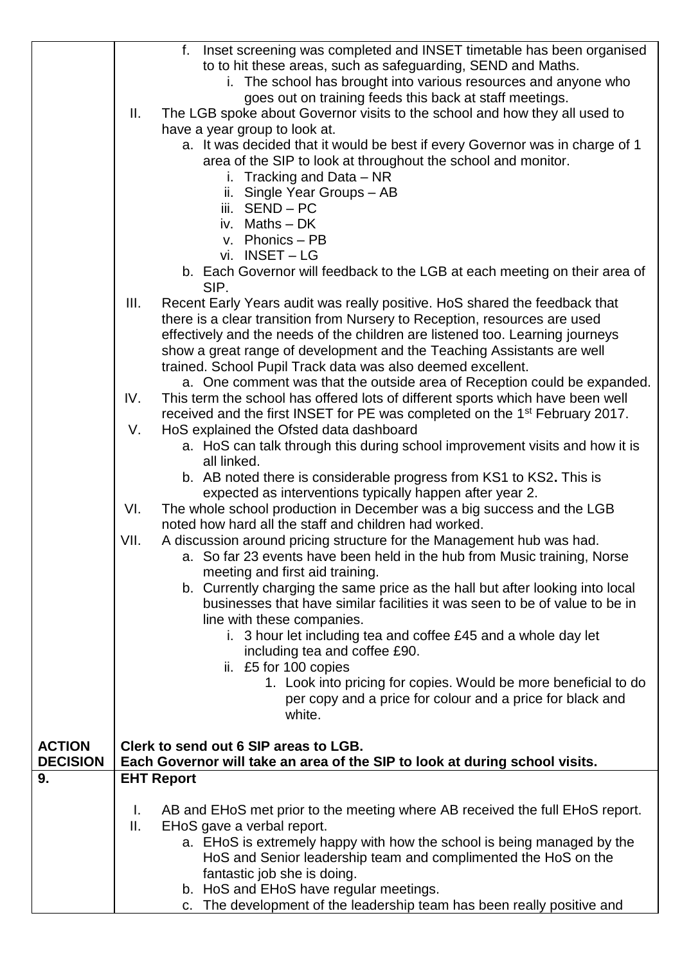|                 |                 | Inset screening was completed and INSET timetable has been organised<br>f.              |
|-----------------|-----------------|-----------------------------------------------------------------------------------------|
|                 |                 | to to hit these areas, such as safeguarding, SEND and Maths.                            |
|                 |                 |                                                                                         |
|                 |                 | i. The school has brought into various resources and anyone who                         |
|                 |                 | goes out on training feeds this back at staff meetings.                                 |
|                 | $\mathbf{II}$ . | The LGB spoke about Governor visits to the school and how they all used to              |
|                 |                 | have a year group to look at.                                                           |
|                 |                 | a. It was decided that it would be best if every Governor was in charge of 1            |
|                 |                 | area of the SIP to look at throughout the school and monitor.                           |
|                 |                 | i. Tracking and Data $-$ NR                                                             |
|                 |                 | ii. Single Year Groups - AB                                                             |
|                 |                 | iii. SEND - PC                                                                          |
|                 |                 | iv. Maths - DK                                                                          |
|                 |                 | v. Phonics - PB                                                                         |
|                 |                 | vi. INSET-LG                                                                            |
|                 |                 | b. Each Governor will feedback to the LGB at each meeting on their area of              |
|                 |                 | SIP.                                                                                    |
|                 | III.            | Recent Early Years audit was really positive. HoS shared the feedback that              |
|                 |                 | there is a clear transition from Nursery to Reception, resources are used               |
|                 |                 | effectively and the needs of the children are listened too. Learning journeys           |
|                 |                 | show a great range of development and the Teaching Assistants are well                  |
|                 |                 | trained. School Pupil Track data was also deemed excellent.                             |
|                 |                 | a. One comment was that the outside area of Reception could be expanded.                |
|                 | IV.             | This term the school has offered lots of different sports which have been well          |
|                 |                 | received and the first INSET for PE was completed on the 1 <sup>st</sup> February 2017. |
|                 | V.              | HoS explained the Ofsted data dashboard                                                 |
|                 |                 | a. HoS can talk through this during school improvement visits and how it is             |
|                 |                 | all linked.                                                                             |
|                 |                 | b. AB noted there is considerable progress from KS1 to KS2. This is                     |
|                 |                 | expected as interventions typically happen after year 2.                                |
|                 | VI.             | The whole school production in December was a big success and the LGB                   |
|                 |                 | noted how hard all the staff and children had worked.                                   |
|                 | VII.            | A discussion around pricing structure for the Management hub was had.                   |
|                 |                 | a. So far 23 events have been held in the hub from Music training, Norse                |
|                 |                 | meeting and first aid training.                                                         |
|                 |                 | b. Currently charging the same price as the hall but after looking into local           |
|                 |                 | businesses that have similar facilities it was seen to be of value to be in             |
|                 |                 | line with these companies.                                                              |
|                 |                 |                                                                                         |
|                 |                 | i. 3 hour let including tea and coffee £45 and a whole day let                          |
|                 |                 | including tea and coffee £90.                                                           |
|                 |                 | ii. £5 for 100 copies                                                                   |
|                 |                 | 1. Look into pricing for copies. Would be more beneficial to do                         |
|                 |                 | per copy and a price for colour and a price for black and                               |
|                 |                 | white.                                                                                  |
| <b>ACTION</b>   |                 | Clerk to send out 6 SIP areas to LGB.                                                   |
| <b>DECISION</b> |                 | Each Governor will take an area of the SIP to look at during school visits.             |
| 9.              |                 | <b>EHT Report</b>                                                                       |
|                 |                 |                                                                                         |
|                 | L.              | AB and EHoS met prior to the meeting where AB received the full EHoS report.            |
|                 | Ⅱ.              | EHoS gave a verbal report.                                                              |
|                 |                 | a. EHoS is extremely happy with how the school is being managed by the                  |
|                 |                 | HoS and Senior leadership team and complimented the HoS on the                          |
|                 |                 | fantastic job she is doing.                                                             |
|                 |                 | b. HoS and EHoS have regular meetings.                                                  |
|                 |                 | c. The development of the leadership team has been really positive and                  |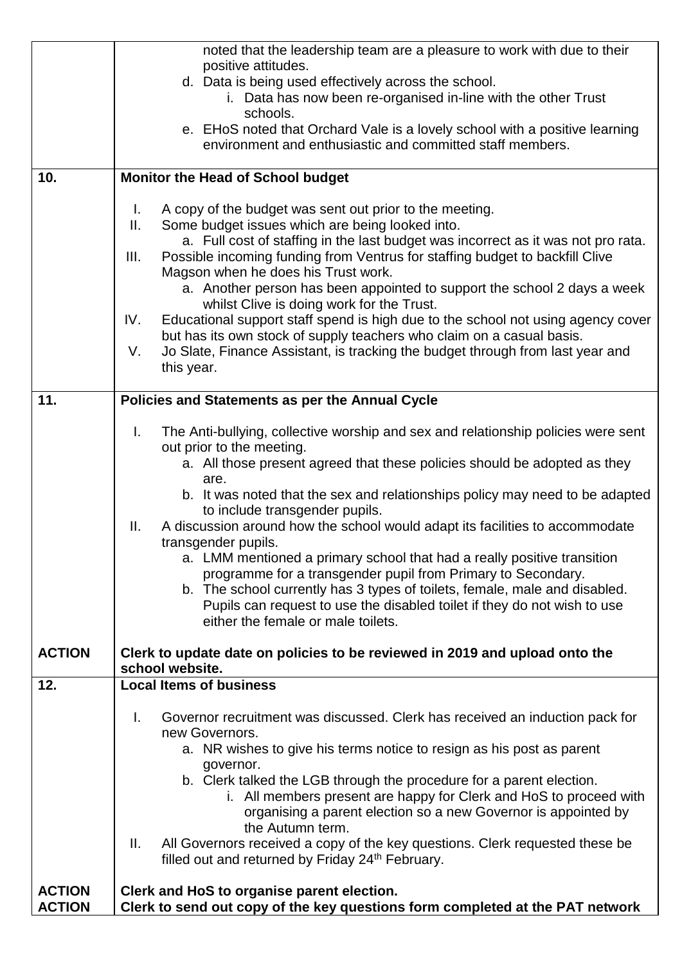|               | noted that the leadership team are a pleasure to work with due to their                                                                            |  |  |
|---------------|----------------------------------------------------------------------------------------------------------------------------------------------------|--|--|
|               | positive attitudes.                                                                                                                                |  |  |
|               | d. Data is being used effectively across the school.<br>i. Data has now been re-organised in-line with the other Trust                             |  |  |
|               | schools.                                                                                                                                           |  |  |
|               | e. EHoS noted that Orchard Vale is a lovely school with a positive learning                                                                        |  |  |
|               | environment and enthusiastic and committed staff members.                                                                                          |  |  |
|               |                                                                                                                                                    |  |  |
| 10.           | <b>Monitor the Head of School budget</b>                                                                                                           |  |  |
|               |                                                                                                                                                    |  |  |
|               | A copy of the budget was sent out prior to the meeting.<br>L.<br>Some budget issues which are being looked into.<br>ΙΙ.                            |  |  |
|               | a. Full cost of staffing in the last budget was incorrect as it was not pro rata.                                                                  |  |  |
|               | Possible incoming funding from Ventrus for staffing budget to backfill Clive<br>III.                                                               |  |  |
|               | Magson when he does his Trust work.                                                                                                                |  |  |
|               | a. Another person has been appointed to support the school 2 days a week                                                                           |  |  |
|               | whilst Clive is doing work for the Trust.                                                                                                          |  |  |
|               | Educational support staff spend is high due to the school not using agency cover<br>IV.                                                            |  |  |
|               | but has its own stock of supply teachers who claim on a casual basis.                                                                              |  |  |
|               | Jo Slate, Finance Assistant, is tracking the budget through from last year and<br>V.<br>this year.                                                 |  |  |
|               |                                                                                                                                                    |  |  |
| 11.           | Policies and Statements as per the Annual Cycle                                                                                                    |  |  |
|               |                                                                                                                                                    |  |  |
|               | I.<br>The Anti-bullying, collective worship and sex and relationship policies were sent                                                            |  |  |
|               | out prior to the meeting.                                                                                                                          |  |  |
|               | a. All those present agreed that these policies should be adopted as they                                                                          |  |  |
|               | are.<br>b. It was noted that the sex and relationships policy may need to be adapted                                                               |  |  |
|               | to include transgender pupils.                                                                                                                     |  |  |
|               | A discussion around how the school would adapt its facilities to accommodate<br>Ш.                                                                 |  |  |
|               | transgender pupils.                                                                                                                                |  |  |
|               | a. LMM mentioned a primary school that had a really positive transition                                                                            |  |  |
|               | programme for a transgender pupil from Primary to Secondary.                                                                                       |  |  |
|               | b. The school currently has 3 types of toilets, female, male and disabled.                                                                         |  |  |
|               | Pupils can request to use the disabled toilet if they do not wish to use<br>either the female or male toilets.                                     |  |  |
|               |                                                                                                                                                    |  |  |
| <b>ACTION</b> | Clerk to update date on policies to be reviewed in 2019 and upload onto the                                                                        |  |  |
|               | school website.                                                                                                                                    |  |  |
| 12.           | <b>Local Items of business</b>                                                                                                                     |  |  |
|               | I.                                                                                                                                                 |  |  |
|               | Governor recruitment was discussed. Clerk has received an induction pack for<br>new Governors.                                                     |  |  |
|               | a. NR wishes to give his terms notice to resign as his post as parent                                                                              |  |  |
|               | governor.                                                                                                                                          |  |  |
|               | b. Clerk talked the LGB through the procedure for a parent election.                                                                               |  |  |
|               | i. All members present are happy for Clerk and HoS to proceed with                                                                                 |  |  |
|               | organising a parent election so a new Governor is appointed by                                                                                     |  |  |
|               | the Autumn term.                                                                                                                                   |  |  |
|               | All Governors received a copy of the key questions. Clerk requested these be<br>Ш.<br>filled out and returned by Friday 24 <sup>th</sup> February. |  |  |
|               |                                                                                                                                                    |  |  |
| <b>ACTION</b> | Clerk and HoS to organise parent election.                                                                                                         |  |  |
| <b>ACTION</b> | Clerk to send out copy of the key questions form completed at the PAT network                                                                      |  |  |